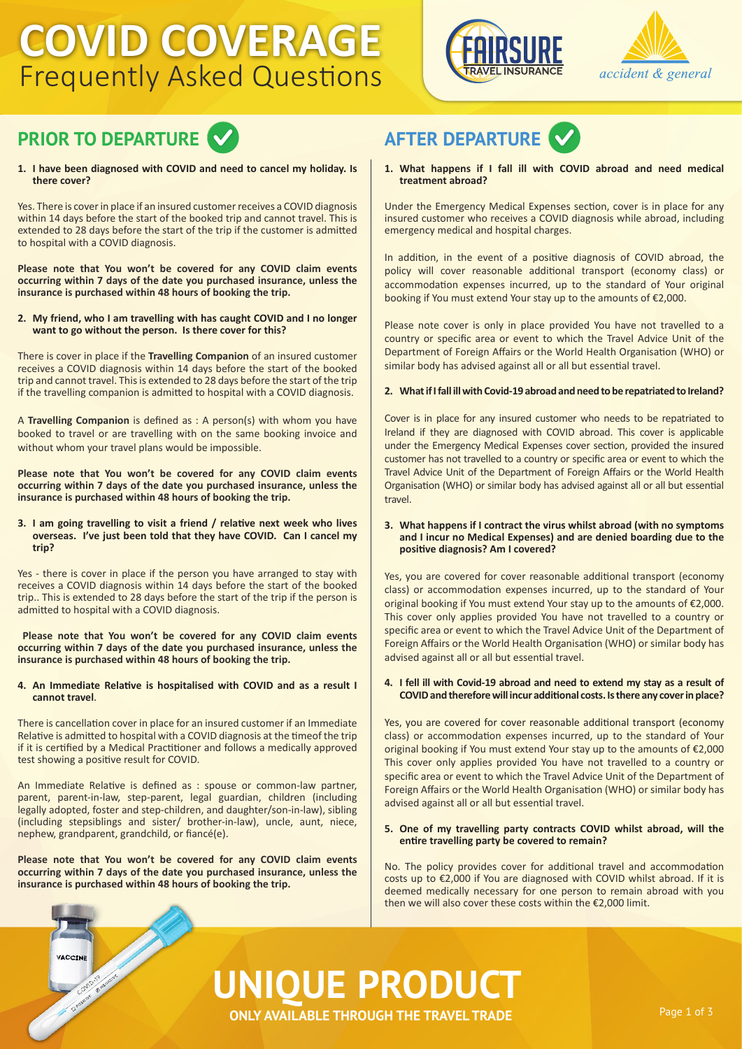### **COVID COVERAGE** Frequently Asked Questions







**1. I have been diagnosed with COVID and need to cancel my holiday. Is there cover?**

Yes. There is cover in place if an insured customer receives a COVID diagnosis within 14 days before the start of the booked trip and cannot travel. This is extended to 28 days before the start of the trip if the customer is admitted to hospital with a COVID diagnosis.

**Please note that You won't be covered for any COVID claim events occurring within 7 days of the date you purchased insurance, unless the insurance is purchased within 48 hours of booking the trip.**

#### **2. My friend, who I am travelling with has caught COVID and I no longer want to go without the person. Is there cover for this?**

There is cover in place if the **Travelling Companion** of an insured customer receives a COVID diagnosis within 14 days before the start of the booked trip and cannot travel. This is extended to 28 days before the start of the trip if the travelling companion is admitted to hospital with a COVID diagnosis.

A **Travelling Companion** is defined as : A person(s) with whom you have booked to travel or are travelling with on the same booking invoice and without whom your travel plans would be impossible.

**Please note that You won't be covered for any COVID claim events occurring within 7 days of the date you purchased insurance, unless the insurance is purchased within 48 hours of booking the trip.**

#### **3. I am going travelling to visit a friend / relative next week who lives overseas. I've just been told that they have COVID. Can I cancel my trip?**

Yes - there is cover in place if the person you have arranged to stay with receives a COVID diagnosis within 14 days before the start of the booked trip.. This is extended to 28 days before the start of the trip if the person is admitted to hospital with a COVID diagnosis.

**Please note that You won't be covered for any COVID claim events occurring within 7 days of the date you purchased insurance, unless the insurance is purchased within 48 hours of booking the trip.**

#### **4. An Immediate Relative is hospitalised with COVID and as a result I cannot travel**.

There is cancellation cover in place for an insured customer if an Immediate Relative is admitted to hospital with a COVID diagnosis at the timeof the trip if it is certified by a Medical Practitioner and follows a medically approved test showing a positive result for COVID.

An Immediate Relative is defined as : spouse or common-law partner, parent, parent-in-law, step-parent, legal guardian, children (including legally adopted, foster and step-children, and daughter/son-in-law), sibling (including stepsiblings and sister/ brother-in-law), uncle, aunt, niece, nephew, grandparent, grandchild, or fiancé(e).

**Please note that You won't be covered for any COVID claim events occurring within 7 days of the date you purchased insurance, unless the insurance is purchased within 48 hours of booking the trip.**

VACCIN

**1. What happens if I fall ill with COVID abroad and need medical treatment abroad?**

Under the Emergency Medical Expenses section, cover is in place for any insured customer who receives a COVID diagnosis while abroad, including emergency medical and hospital charges.

In addition, in the event of a positive diagnosis of COVID abroad, the policy will cover reasonable additional transport (economy class) or accommodation expenses incurred, up to the standard of Your original booking if You must extend Your stay up to the amounts of €2,000.

Please note cover is only in place provided You have not travelled to a country or specific area or event to which the Travel Advice Unit of the Department of Foreign Affairs or the World Health Organisation (WHO) or similar body has advised against all or all but essential travel.

#### **2. What if I fall ill with Covid-19 abroad and need to be repatriated to Ireland?**

Cover is in place for any insured customer who needs to be repatriated to Ireland if they are diagnosed with COVID abroad. This cover is applicable under the Emergency Medical Expenses cover section, provided the insured customer has not travelled to a country or specific area or event to which the Travel Advice Unit of the Department of Foreign Affairs or the World Health Organisation (WHO) or similar body has advised against all or all but essential travel.

#### **3. What happens if I contract the virus whilst abroad (with no symptoms and I incur no Medical Expenses) and are denied boarding due to the positive diagnosis? Am I covered?**

Yes, you are covered for cover reasonable additional transport (economy class) or accommodation expenses incurred, up to the standard of Your original booking if You must extend Your stay up to the amounts of €2,000. This cover only applies provided You have not travelled to a country or specific area or event to which the Travel Advice Unit of the Department of Foreign Affairs or the World Health Organisation (WHO) or similar body has advised against all or all but essential travel.

#### **4. I fell ill with Covid-19 abroad and need to extend my stay as a result of COVID and therefore will incur additional costs. Is there any cover in place?**

Yes, you are covered for cover reasonable additional transport (economy class) or accommodation expenses incurred, up to the standard of Your original booking if You must extend Your stay up to the amounts of €2,000 This cover only applies provided You have not travelled to a country or specific area or event to which the Travel Advice Unit of the Department of Foreign Affairs or the World Health Organisation (WHO) or similar body has advised against all or all but essential travel.

#### **5. One of my travelling party contracts COVID whilst abroad, will the entire travelling party be covered to remain?**

No. The policy provides cover for additional travel and accommodation costs up to €2,000 if You are diagnosed with COVID whilst abroad. If it is deemed medically necessary for one person to remain abroad with you then we will also cover these costs within the €2,000 limit.

# **UNIQUE PRODUCT**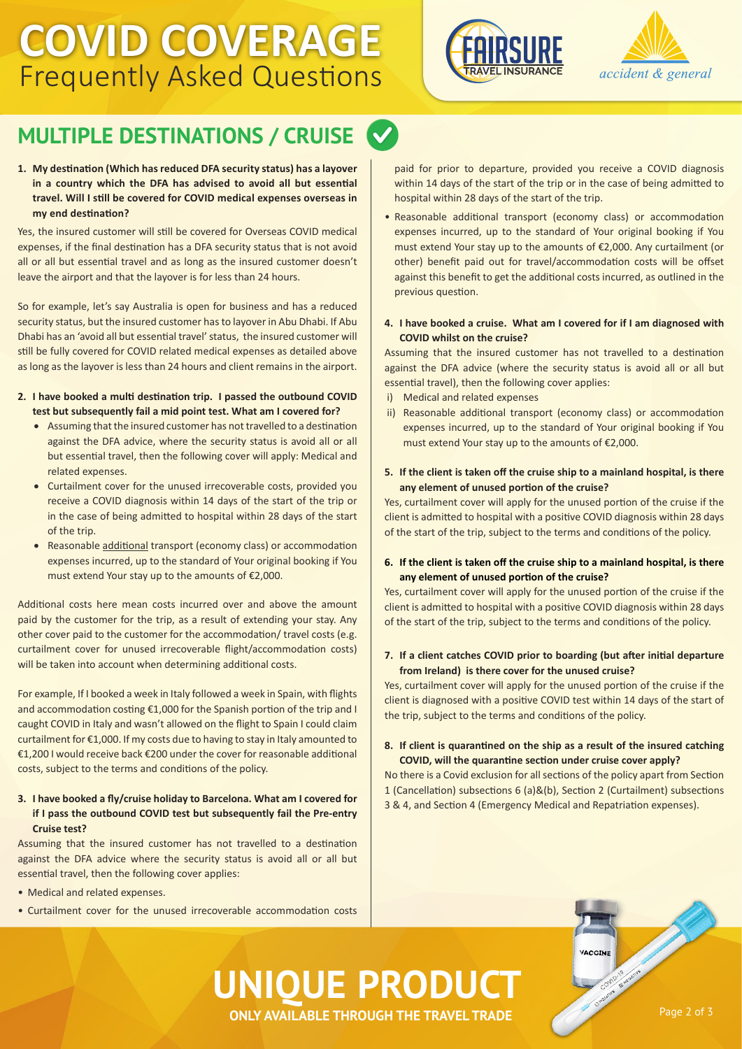## **COVID COVERAGE** Frequently Asked Questions





### **MULTIPLE DESTINATIONS / CRUISE**

#### **1. My destination (Which has reduced DFA security status) has a layover in a country which the DFA has advised to avoid all but essential travel. Will I still be covered for COVID medical expenses overseas in my end destination?**

Yes, the insured customer will still be covered for Overseas COVID medical expenses, if the final destination has a DFA security status that is not avoid all or all but essential travel and as long as the insured customer doesn't leave the airport and that the layover is for less than 24 hours.

So for example, let's say Australia is open for business and has a reduced security status, but the insured customer has to layover in Abu Dhabi. If Abu Dhabi has an 'avoid all but essential travel' status, the insured customer will still be fully covered for COVID related medical expenses as detailed above as long as the layover is less than 24 hours and client remains in the airport.

- **2. I have booked a multi destination trip. I passed the outbound COVID test but subsequently fail a mid point test. What am I covered for?**
	- Assuming that the insured customer has not travelled to a destination against the DFA advice, where the security status is avoid all or all but essential travel, then the following cover will apply: Medical and related expenses.
	- Curtailment cover for the unused irrecoverable costs, provided you receive a COVID diagnosis within 14 days of the start of the trip or in the case of being admitted to hospital within 28 days of the start of the trip.
	- Reasonable additional transport (economy class) or accommodation expenses incurred, up to the standard of Your original booking if You must extend Your stay up to the amounts of €2,000.

Additional costs here mean costs incurred over and above the amount paid by the customer for the trip, as a result of extending your stay. Any other cover paid to the customer for the accommodation/ travel costs (e.g. curtailment cover for unused irrecoverable flight/accommodation costs) will be taken into account when determining additional costs.

For example, If I booked a week in Italy followed a week in Spain, with flights and accommodation costing €1,000 for the Spanish portion of the trip and I caught COVID in Italy and wasn't allowed on the flight to Spain I could claim curtailment for €1,000. If my costs due to having to stay in Italy amounted to €1,200 I would receive back €200 under the cover for reasonable additional costs, subject to the terms and conditions of the policy.

### **3. I have booked a fly/cruise holiday to Barcelona. What am I covered for if I pass the outbound COVID test but subsequently fail the Pre-entry Cruise test?**

Assuming that the insured customer has not travelled to a destination against the DFA advice where the security status is avoid all or all but essential travel, then the following cover applies:

- Medical and related expenses.
- Curtailment cover for the unused irrecoverable accommodation costs

paid for prior to departure, provided you receive a COVID diagnosis within 14 days of the start of the trip or in the case of being admitted to hospital within 28 days of the start of the trip.

• Reasonable additional transport (economy class) or accommodation expenses incurred, up to the standard of Your original booking if You must extend Your stay up to the amounts of €2,000. Any curtailment (or other) benefit paid out for travel/accommodation costs will be offset against this benefit to get the additional costs incurred, as outlined in the previous question.

#### **4. I have booked a cruise. What am I covered for if I am diagnosed with COVID whilst on the cruise?**

Assuming that the insured customer has not travelled to a destination against the DFA advice (where the security status is avoid all or all but essential travel), then the following cover applies:

- i) Medical and related expenses
- ii) Reasonable additional transport (economy class) or accommodation expenses incurred, up to the standard of Your original booking if You must extend Your stay up to the amounts of €2,000.

#### **5. If the client is taken off the cruise ship to a mainland hospital, is there any element of unused portion of the cruise?**

Yes, curtailment cover will apply for the unused portion of the cruise if the client is admitted to hospital with a positive COVID diagnosis within 28 days of the start of the trip, subject to the terms and conditions of the policy.

#### **6. If the client is taken off the cruise ship to a mainland hospital, is there any element of unused portion of the cruise?**

Yes, curtailment cover will apply for the unused portion of the cruise if the client is admitted to hospital with a positive COVID diagnosis within 28 days of the start of the trip, subject to the terms and conditions of the policy.

#### **7. If a client catches COVID prior to boarding (but after initial departure from Ireland) is there cover for the unused cruise?**

Yes, curtailment cover will apply for the unused portion of the cruise if the client is diagnosed with a positive COVID test within 14 days of the start of the trip, subject to the terms and conditions of the policy.

#### **8. If client is quarantined on the ship as a result of the insured catching COVID, will the quarantine section under cruise cover apply?**

No there is a Covid exclusion for all sections of the policy apart from Section 1 (Cancellation) subsections 6 (a)&(b), Section 2 (Curtailment) subsections 3 & 4, and Section 4 (Emergency Medical and Repatriation expenses).

VACCIN